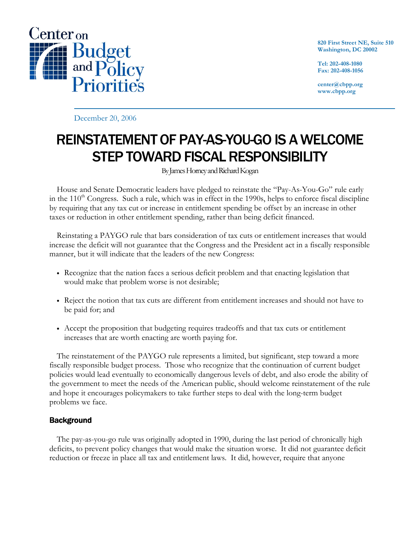

820 First Street NE, Suite 510 Washington, DC 20002

Tel: 202-408-1080 Fax: 202-408-1056

center@cbpp.org www.cbpp.org

December 20, 2006

## REINSTATEMENT OF PAY-AS-YOU-GO IS A WELCOME STEP TOWARD FISCAL RESPONSIBILITY

By James Horney and Richard Kogan

 House and Senate Democratic leaders have pledged to reinstate the "Pay-As-You-Go" rule early in the  $110<sup>th</sup>$  Congress. Such a rule, which was in effect in the 1990s, helps to enforce fiscal discipline by requiring that any tax cut or increase in entitlement spending be offset by an increase in other taxes or reduction in other entitlement spending, rather than being deficit financed.

 Reinstating a PAYGO rule that bars consideration of tax cuts or entitlement increases that would increase the deficit will not guarantee that the Congress and the President act in a fiscally responsible manner, but it will indicate that the leaders of the new Congress:

- Recognize that the nation faces a serious deficit problem and that enacting legislation that would make that problem worse is not desirable;
- Reject the notion that tax cuts are different from entitlement increases and should not have to be paid for; and
- Accept the proposition that budgeting requires tradeoffs and that tax cuts or entitlement increases that are worth enacting are worth paying for.

The reinstatement of the PAYGO rule represents a limited, but significant, step toward a more fiscally responsible budget process. Those who recognize that the continuation of current budget policies would lead eventually to economically dangerous levels of debt, and also erode the ability of the government to meet the needs of the American public, should welcome reinstatement of the rule and hope it encourages policymakers to take further steps to deal with the long-term budget problems we face.

## **Background**

 The pay-as-you-go rule was originally adopted in 1990, during the last period of chronically high deficits, to prevent policy changes that would make the situation worse. It did not guarantee deficit reduction or freeze in place all tax and entitlement laws. It did, however, require that anyone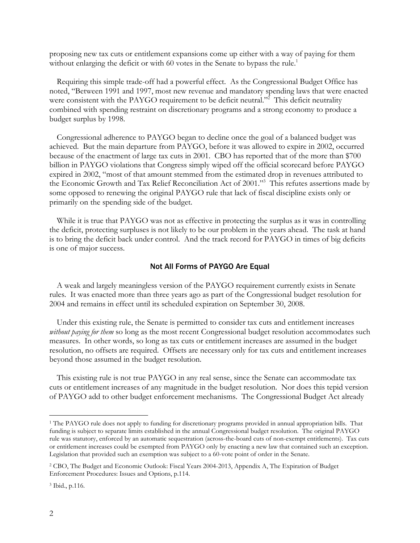proposing new tax cuts or entitlement expansions come up either with a way of paying for them without enlarging the deficit or with 60 votes in the Senate to bypass the rule.<sup>1</sup>

 Requiring this simple trade-off had a powerful effect. As the Congressional Budget Office has noted, "Between 1991 and 1997, most new revenue and mandatory spending laws that were enacted were consistent with the PAYGO requirement to be deficit neutral."<sup>2</sup> This deficit neutrality combined with spending restraint on discretionary programs and a strong economy to produce a budget surplus by 1998.

 Congressional adherence to PAYGO began to decline once the goal of a balanced budget was achieved. But the main departure from PAYGO, before it was allowed to expire in 2002, occurred because of the enactment of large tax cuts in 2001. CBO has reported that of the more than \$700 billion in PAYGO violations that Congress simply wiped off the official scorecard before PAYGO expired in 2002, "most of that amount stemmed from the estimated drop in revenues attributed to the Economic Growth and Tax Relief Reconciliation Act of 2001."<sup>3</sup> This refutes assertions made by some opposed to renewing the original PAYGO rule that lack of fiscal discipline exists only or primarily on the spending side of the budget.

 While it is true that PAYGO was not as effective in protecting the surplus as it was in controlling the deficit, protecting surpluses is not likely to be our problem in the years ahead. The task at hand is to bring the deficit back under control. And the track record for PAYGO in times of big deficits is one of major success.

## Not All Forms of PAYGO Are Equal

 A weak and largely meaningless version of the PAYGO requirement currently exists in Senate rules. It was enacted more than three years ago as part of the Congressional budget resolution for 2004 and remains in effect until its scheduled expiration on September 30, 2008.

 Under this existing rule, the Senate is permitted to consider tax cuts and entitlement increases without paying for them so long as the most recent Congressional budget resolution accommodates such measures. In other words, so long as tax cuts or entitlement increases are assumed in the budget resolution, no offsets are required. Offsets are necessary only for tax cuts and entitlement increases beyond those assumed in the budget resolution.

 This existing rule is not true PAYGO in any real sense, since the Senate can accommodate tax cuts or entitlement increases of any magnitude in the budget resolution. Nor does this tepid version of PAYGO add to other budget enforcement mechanisms. The Congressional Budget Act already

 $\overline{a}$ 1 The PAYGO rule does not apply to funding for discretionary programs provided in annual appropriation bills. That funding is subject to separate limits established in the annual Congressional budget resolution. The original PAYGO rule was statutory, enforced by an automatic sequestration (across-the-board cuts of non-exempt entitlements). Tax cuts or entitlement increases could be exempted from PAYGO only by enacting a new law that contained such an exception. Legislation that provided such an exemption was subject to a 60-vote point of order in the Senate.

<sup>2</sup> CBO, The Budget and Economic Outlook: Fiscal Years 2004-2013, Appendix A, The Expiration of Budget Enforcement Procedures: Issues and Options, p.114.

<sup>3</sup> Ibid., p.116.